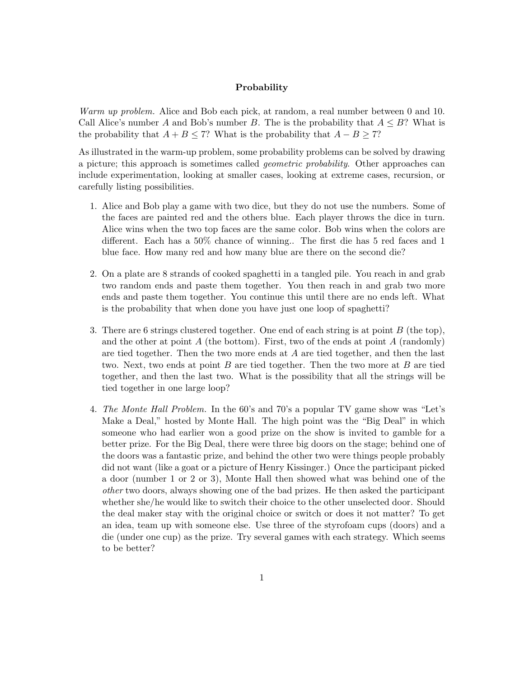## Probability

Warm up problem. Alice and Bob each pick, at random, a real number between 0 and 10. Call Alice's number A and Bob's number B. The is the probability that  $A \leq B$ ? What is the probability that  $A + B \le 7$ ? What is the probability that  $A - B \ge 7$ ?

As illustrated in the warm-up problem, some probability problems can be solved by drawing a picture; this approach is sometimes called geometric probability. Other approaches can include experimentation, looking at smaller cases, looking at extreme cases, recursion, or carefully listing possibilities.

- 1. Alice and Bob play a game with two dice, but they do not use the numbers. Some of the faces are painted red and the others blue. Each player throws the dice in turn. Alice wins when the two top faces are the same color. Bob wins when the colors are different. Each has a 50% chance of winning.. The first die has 5 red faces and 1 blue face. How many red and how many blue are there on the second die?
- 2. On a plate are 8 strands of cooked spaghetti in a tangled pile. You reach in and grab two random ends and paste them together. You then reach in and grab two more ends and paste them together. You continue this until there are no ends left. What is the probability that when done you have just one loop of spaghetti?
- 3. There are 6 strings clustered together. One end of each string is at point B (the top), and the other at point  $A$  (the bottom). First, two of the ends at point  $A$  (randomly) are tied together. Then the two more ends at A are tied together, and then the last two. Next, two ends at point  $B$  are tied together. Then the two more at  $B$  are tied together, and then the last two. What is the possibility that all the strings will be tied together in one large loop?
- 4. The Monte Hall Problem. In the 60's and 70's a popular TV game show was "Let's Make a Deal," hosted by Monte Hall. The high point was the "Big Deal" in which someone who had earlier won a good prize on the show is invited to gamble for a better prize. For the Big Deal, there were three big doors on the stage; behind one of the doors was a fantastic prize, and behind the other two were things people probably did not want (like a goat or a picture of Henry Kissinger.) Once the participant picked a door (number 1 or 2 or 3), Monte Hall then showed what was behind one of the other two doors, always showing one of the bad prizes. He then asked the participant whether she/he would like to switch their choice to the other unselected door. Should the deal maker stay with the original choice or switch or does it not matter? To get an idea, team up with someone else. Use three of the styrofoam cups (doors) and a die (under one cup) as the prize. Try several games with each strategy. Which seems to be better?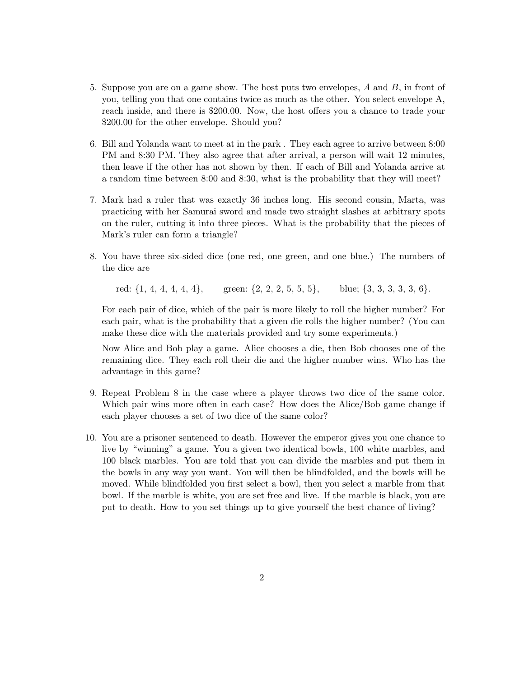- 5. Suppose you are on a game show. The host puts two envelopes, A and B, in front of you, telling you that one contains twice as much as the other. You select envelope A, reach inside, and there is \$200.00. Now, the host offers you a chance to trade your \$200.00 for the other envelope. Should you?
- 6. Bill and Yolanda want to meet at in the park . They each agree to arrive between 8:00 PM and 8:30 PM. They also agree that after arrival, a person will wait 12 minutes, then leave if the other has not shown by then. If each of Bill and Yolanda arrive at a random time between 8:00 and 8:30, what is the probability that they will meet?
- 7. Mark had a ruler that was exactly 36 inches long. His second cousin, Marta, was practicing with her Samurai sword and made two straight slashes at arbitrary spots on the ruler, cutting it into three pieces. What is the probability that the pieces of Mark's ruler can form a triangle?
- 8. You have three six-sided dice (one red, one green, and one blue.) The numbers of the dice are

red:  $\{1, 4, 4, 4, 4, 4\}$ , green:  $\{2, 2, 2, 5, 5, 5\}$ , blue;  $\{3, 3, 3, 3, 3, 6\}$ .

For each pair of dice, which of the pair is more likely to roll the higher number? For each pair, what is the probability that a given die rolls the higher number? (You can make these dice with the materials provided and try some experiments.)

Now Alice and Bob play a game. Alice chooses a die, then Bob chooses one of the remaining dice. They each roll their die and the higher number wins. Who has the advantage in this game?

- 9. Repeat Problem 8 in the case where a player throws two dice of the same color. Which pair wins more often in each case? How does the Alice/Bob game change if each player chooses a set of two dice of the same color?
- 10. You are a prisoner sentenced to death. However the emperor gives you one chance to live by "winning" a game. You a given two identical bowls, 100 white marbles, and 100 black marbles. You are told that you can divide the marbles and put them in the bowls in any way you want. You will then be blindfolded, and the bowls will be moved. While blindfolded you first select a bowl, then you select a marble from that bowl. If the marble is white, you are set free and live. If the marble is black, you are put to death. How to you set things up to give yourself the best chance of living?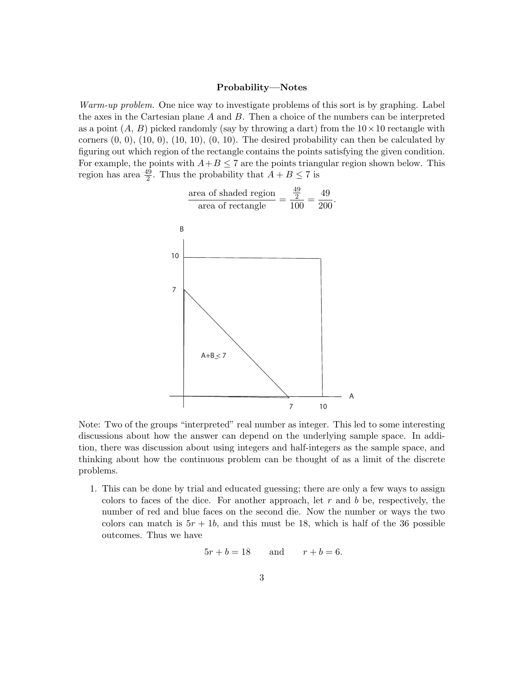## Probability—Notes

Warm-up problem. One nice way to investigate problems of this sort is by graphing. Label the axes in the Cartesian plane A and B. Then a choice of the numbers can be interpreted as a point  $(A, B)$  picked randomly (say by throwing a dart) from the  $10 \times 10$  rectangle with corners  $(0, 0)$ ,  $(10, 0)$ ,  $(10, 10)$ ,  $(0, 10)$ . The desired probability can then be calculated by figuring out which region of the rectangle contains the points satisfying the given condition. For example, the points with  $A+B \leq 7$  are the points triangular region shown below. This region has area  $\frac{49}{2}$ . Thus the probability that  $A + B \le 7$  is



Note: Two of the groups "interpreted" real number as integer. This led to some interesting discussions about how the answer can depend on the underlying sample space. In addition, there was discussion about using integers and half-integers as the sample space, and thinking about how the continuous problem can be thought of as a limit of the discrete problems.

1. This can be done by trial and educated guessing; there are only a few ways to assign colors to faces of the dice. For another approach, let  $r$  and  $b$  be, respectively, the number of red and blue faces on the second die. Now the number or ways the two colors can match is  $5r + 1b$ , and this must be 18, which is half of the 36 possible outcomes. Thus we have

$$
5r + b = 18 \qquad \text{and} \qquad r + b = 6.
$$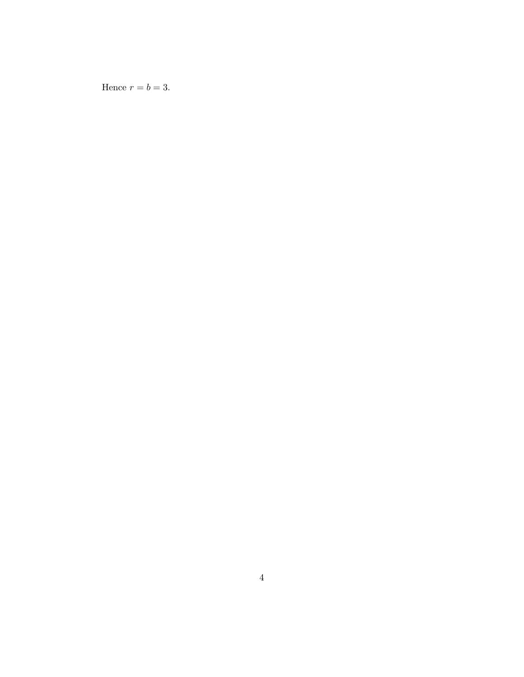Hence  $r = b = 3$ .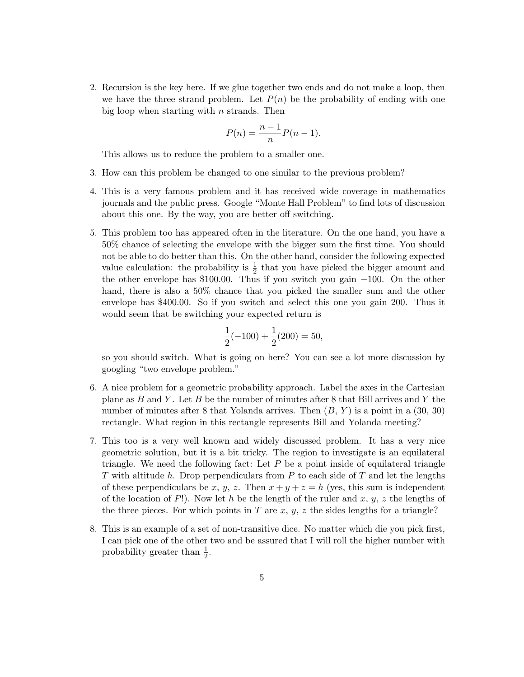2. Recursion is the key here. If we glue together two ends and do not make a loop, then we have the three strand problem. Let  $P(n)$  be the probability of ending with one big loop when starting with  $n$  strands. Then

$$
P(n) = \frac{n-1}{n}P(n-1).
$$

This allows us to reduce the problem to a smaller one.

- 3. How can this problem be changed to one similar to the previous problem?
- 4. This is a very famous problem and it has received wide coverage in mathematics journals and the public press. Google "Monte Hall Problem" to find lots of discussion about this one. By the way, you are better off switching.
- 5. This problem too has appeared often in the literature. On the one hand, you have a 50% chance of selecting the envelope with the bigger sum the first time. You should not be able to do better than this. On the other hand, consider the following expected value calculation: the probability is  $\frac{1}{2}$  that you have picked the bigger amount and the other envelope has \$100.00. Thus if you switch you gain −100. On the other hand, there is also a 50% chance that you picked the smaller sum and the other envelope has \$400.00. So if you switch and select this one you gain 200. Thus it would seem that be switching your expected return is

$$
\frac{1}{2}(-100) + \frac{1}{2}(200) = 50,
$$

so you should switch. What is going on here? You can see a lot more discussion by googling "two envelope problem."

- 6. A nice problem for a geometric probability approach. Label the axes in the Cartesian plane as  $B$  and  $Y$ . Let  $B$  be the number of minutes after 8 that Bill arrives and  $Y$  the number of minutes after 8 that Yolanda arrives. Then  $(B, Y)$  is a point in a  $(30, 30)$ rectangle. What region in this rectangle represents Bill and Yolanda meeting?
- 7. This too is a very well known and widely discussed problem. It has a very nice geometric solution, but it is a bit tricky. The region to investigate is an equilateral triangle. We need the following fact: Let  $P$  be a point inside of equilateral triangle T with altitude h. Drop perpendiculars from  $P$  to each side of  $T$  and let the lengths of these perpendiculars be x, y, z. Then  $x + y + z = h$  (yes, this sum is independent of the location of P!). Now let h be the length of the ruler and x, y, z the lengths of the three pieces. For which points in T are  $x, y, z$  the sides lengths for a triangle?
- 8. This is an example of a set of non-transitive dice. No matter which die you pick first, I can pick one of the other two and be assured that I will roll the higher number with probability greater than  $\frac{1}{2}$ .